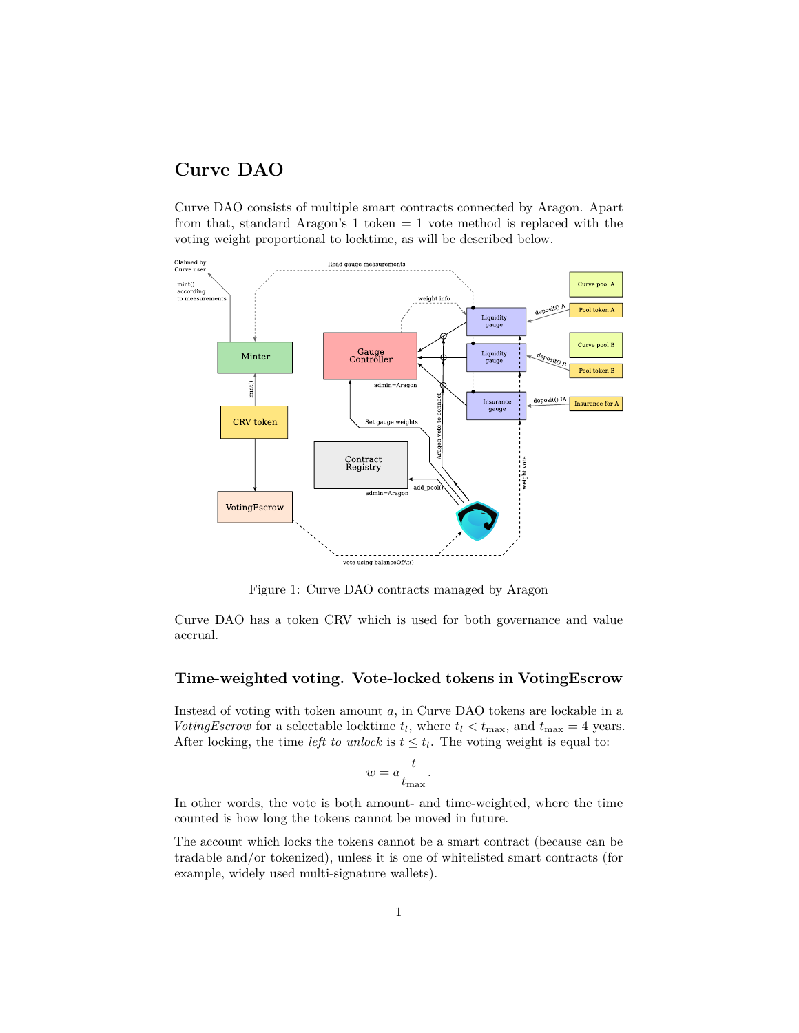# **Curve DAO**

Curve DAO consists of multiple smart contracts connected by Aragon. Apart from that, standard Aragon's 1 token = 1 vote method is replaced with the voting weight proportional to locktime, as will be described below.



Figure 1: Curve DAO contracts managed by Aragon

Curve DAO has a token CRV which is used for both governance and value accrual.

### **Time-weighted voting. Vote-locked tokens in VotingEscrow**

Instead of voting with token amount *a*, in Curve DAO tokens are lockable in a *VotingEscrow* for a selectable locktime  $t_l$ , where  $t_l < t_{\text{max}}$ , and  $t_{\text{max}} = 4$  years. After locking, the time *left to unlock* is  $t \leq t_l$ . The voting weight is equal to:

$$
w = a \frac{t}{t_{\text{max}}}.
$$

In other words, the vote is both amount- and time-weighted, where the time counted is how long the tokens cannot be moved in future.

The account which locks the tokens cannot be a smart contract (because can be tradable and/or tokenized), unless it is one of whitelisted smart contracts (for example, widely used multi-signature wallets).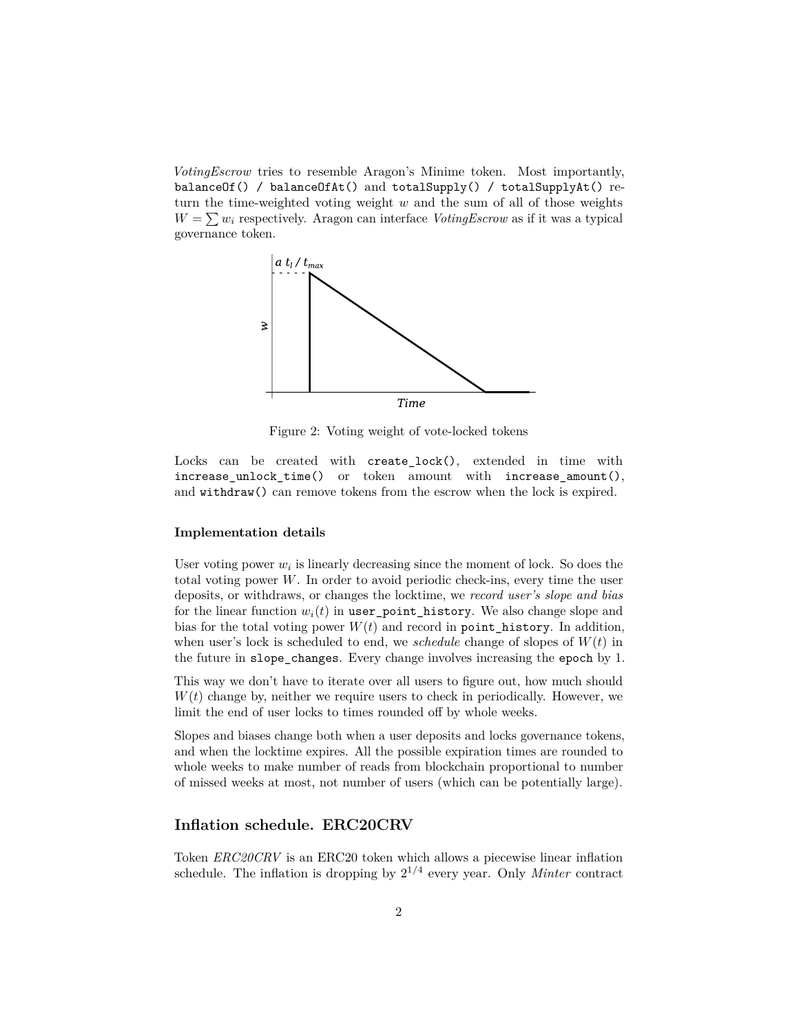*VotingEscrow* tries to resemble Aragon's Minime token. Most importantly, balanceOf() / balanceOfAt() and totalSupply() / totalSupplyAt() return the time-weighted voting weight *w* and the sum of all of those weights  $W = \sum w_i$  respectively. Aragon can interface *VotingEscrow* as if it was a typical governance token.



Figure 2: Voting weight of vote-locked tokens

Locks can be created with create\_lock(), extended in time with increase\_unlock\_time() or token amount with increase\_amount(), and withdraw() can remove tokens from the escrow when the lock is expired.

#### **Implementation details**

User voting power  $w_i$  is linearly decreasing since the moment of lock. So does the total voting power *W*. In order to avoid periodic check-ins, every time the user deposits, or withdraws, or changes the locktime, we *record user's slope and bias* for the linear function  $w_i(t)$  in user\_point\_history. We also change slope and bias for the total voting power  $W(t)$  and record in point\_history. In addition, when user's lock is scheduled to end, we *schedule* change of slopes of *W*(*t*) in the future in slope\_changes. Every change involves increasing the epoch by 1.

This way we don't have to iterate over all users to figure out, how much should *W*(*t*) change by, neither we require users to check in periodically. However, we limit the end of user locks to times rounded off by whole weeks.

Slopes and biases change both when a user deposits and locks governance tokens, and when the locktime expires. All the possible expiration times are rounded to whole weeks to make number of reads from blockchain proportional to number of missed weeks at most, not number of users (which can be potentially large).

### **Inflation schedule. ERC20CRV**

Token *ERC20CRV* is an ERC20 token which allows a piecewise linear inflation schedule. The inflation is dropping by  $2^{1/4}$  every year. Only *Minter* contract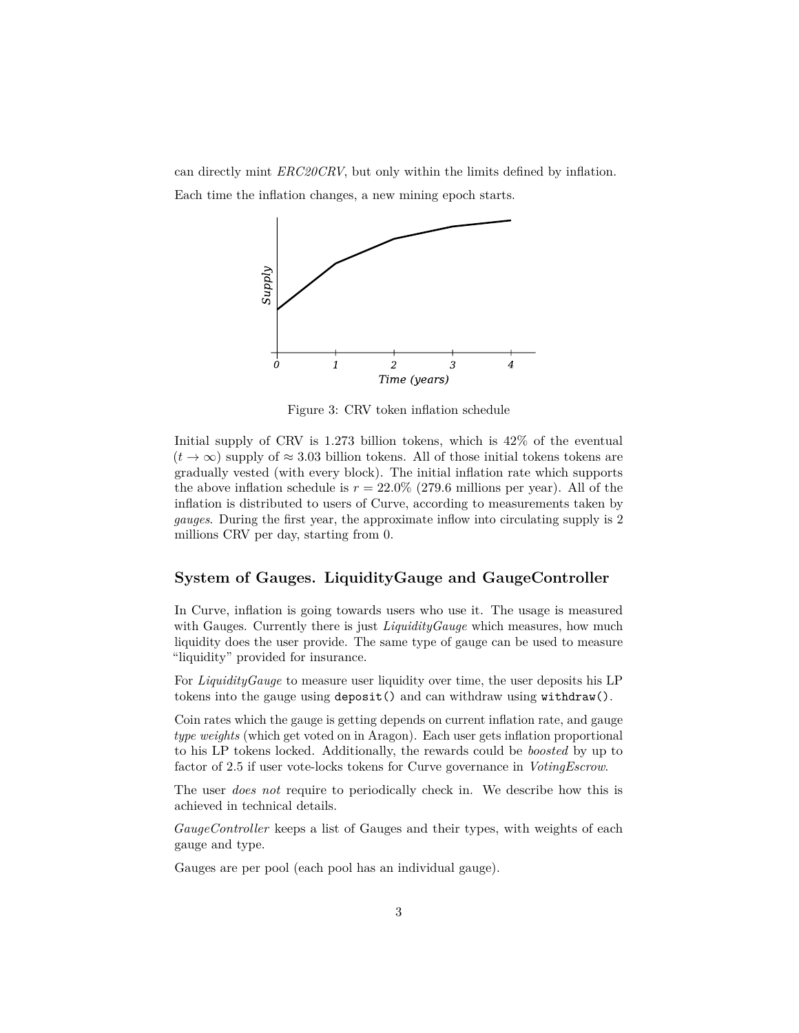can directly mint *ERC20CRV*, but only within the limits defined by inflation. Each time the inflation changes, a new mining epoch starts.



Figure 3: CRV token inflation schedule

Initial supply of CRV is 1*.*273 billion tokens, which is 42% of the eventual  $(t \to \infty)$  supply of  $\approx 3.03$  billion tokens. All of those initial tokens tokens are gradually vested (with every block). The initial inflation rate which supports the above inflation schedule is  $r = 22.0\%$  (279.6 millions per year). All of the inflation is distributed to users of Curve, according to measurements taken by *gauges*. During the first year, the approximate inflow into circulating supply is 2 millions CRV per day, starting from 0.

### **System of Gauges. LiquidityGauge and GaugeController**

In Curve, inflation is going towards users who use it. The usage is measured with Gauges. Currently there is just *LiquidityGauge* which measures, how much liquidity does the user provide. The same type of gauge can be used to measure "liquidity" provided for insurance.

For *LiquidityGauge* to measure user liquidity over time, the user deposits his LP tokens into the gauge using deposit() and can withdraw using withdraw().

Coin rates which the gauge is getting depends on current inflation rate, and gauge *type weights* (which get voted on in Aragon). Each user gets inflation proportional to his LP tokens locked. Additionally, the rewards could be *boosted* by up to factor of 2.5 if user vote-locks tokens for Curve governance in *VotingEscrow*.

The user *does not* require to periodically check in. We describe how this is achieved in technical details.

*GaugeController* keeps a list of Gauges and their types, with weights of each gauge and type.

Gauges are per pool (each pool has an individual gauge).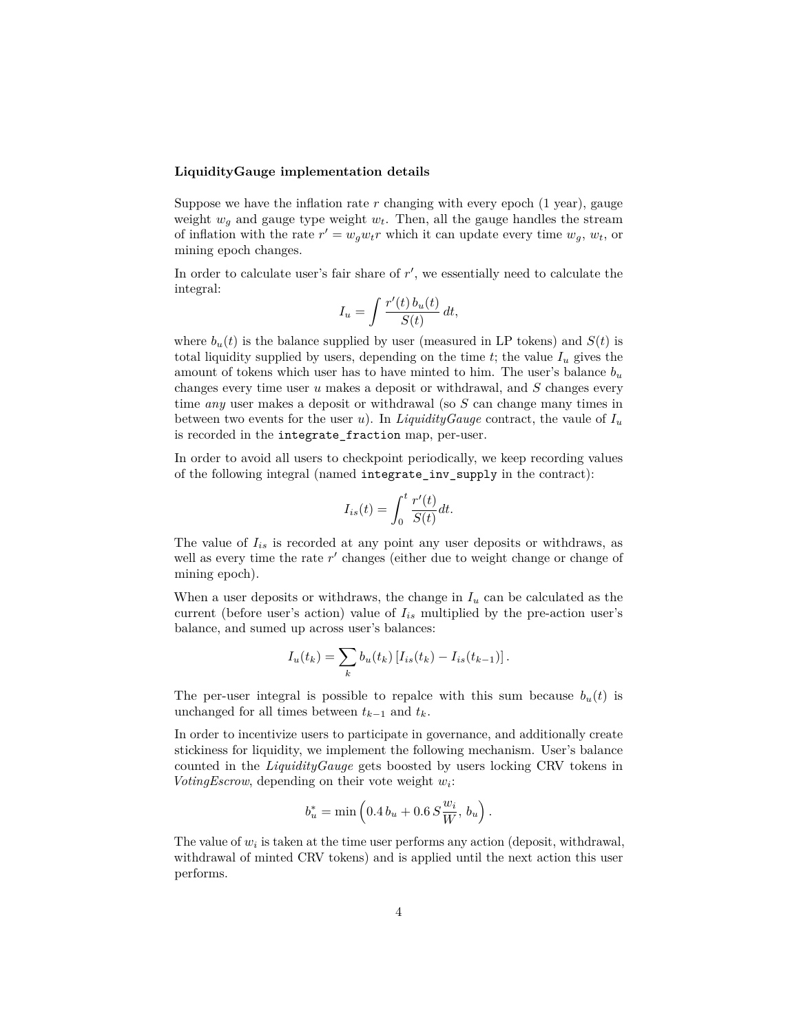#### **LiquidityGauge implementation details**

Suppose we have the inflation rate  $r$  changing with every epoch  $(1 \text{ year})$ , gauge weight  $w_q$  and gauge type weight  $w_t$ . Then, all the gauge handles the stream of inflation with the rate  $r' = w_g w_t r$  which it can update every time  $w_g$ ,  $w_t$ , or mining epoch changes.

In order to calculate user's fair share of  $r'$ , we essentially need to calculate the integral:

$$
I_u = \int \frac{r'(t) b_u(t)}{S(t)} dt,
$$

where  $b_u(t)$  is the balance supplied by user (measured in LP tokens) and  $S(t)$  is total liquidity supplied by users, depending on the time  $t$ ; the value  $I_u$  gives the amount of tokens which user has to have minted to him. The user's balance  $b_u$ changes every time user *u* makes a deposit or withdrawal, and *S* changes every time *any* user makes a deposit or withdrawal (so *S* can change many times in between two events for the user *u*). In *LiquidityGauge* contract, the vaule of  $I_u$ is recorded in the integrate\_fraction map, per-user.

In order to avoid all users to checkpoint periodically, we keep recording values of the following integral (named integrate\_inv\_supply in the contract):

$$
I_{is}(t) = \int_0^t \frac{r'(t)}{S(t)} dt.
$$

The value of  $I_{is}$  is recorded at any point any user deposits or withdraws, as well as every time the rate  $r'$  changes (either due to weight change or change of mining epoch).

When a user deposits or withdraws, the change in  $I_u$  can be calculated as the current (before user's action) value of *Iis* multiplied by the pre-action user's balance, and sumed up across user's balances:

$$
I_u(t_k) = \sum_k b_u(t_k) [I_{is}(t_k) - I_{is}(t_{k-1})].
$$

The per-user integral is possible to repalce with this sum because  $b_u(t)$  is unchanged for all times between  $t_{k-1}$  and  $t_k$ .

In order to incentivize users to participate in governance, and additionally create stickiness for liquidity, we implement the following mechanism. User's balance counted in the *LiquidityGauge* gets boosted by users locking CRV tokens in *VotingEscrow*, depending on their vote weight *w<sup>i</sup>* :

$$
b_u^* = \min\left(0.4\,b_u + 0.6\,S\frac{w_i}{W},\,b_u\right).
$$

The value of  $w_i$  is taken at the time user performs any action (deposit, withdrawal, withdrawal of minted CRV tokens) and is applied until the next action this user performs.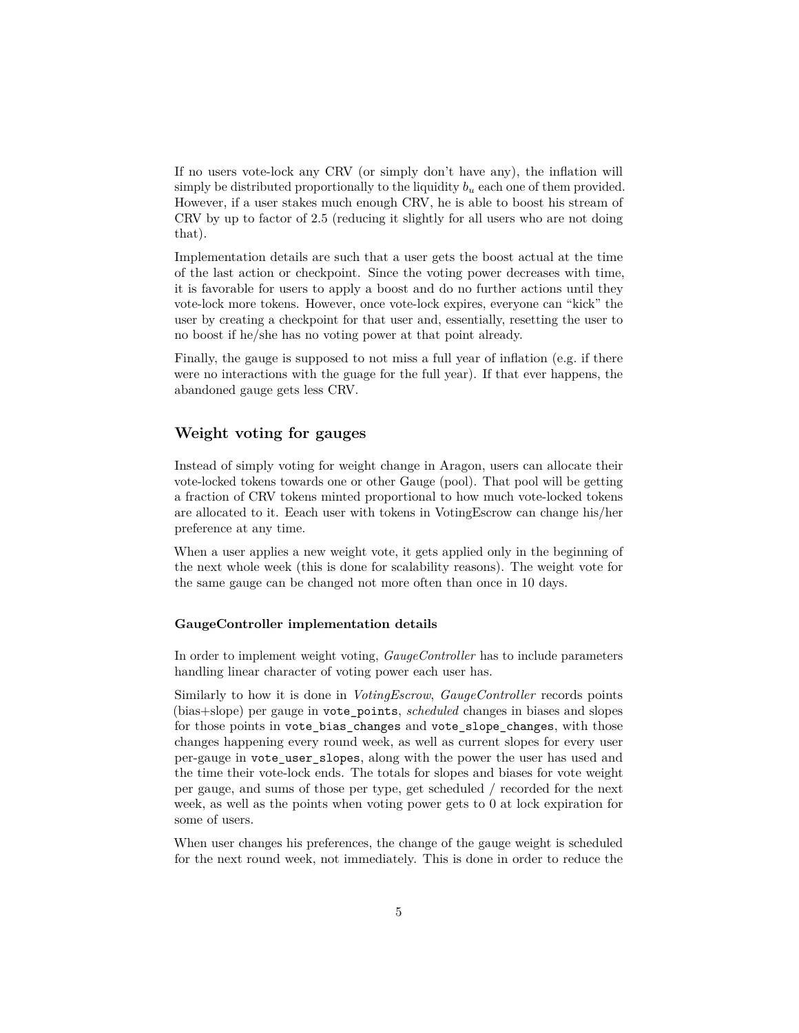If no users vote-lock any CRV (or simply don't have any), the inflation will simply be distributed proportionally to the liquidity *b<sup>u</sup>* each one of them provided. However, if a user stakes much enough CRV, he is able to boost his stream of CRV by up to factor of 2.5 (reducing it slightly for all users who are not doing that).

Implementation details are such that a user gets the boost actual at the time of the last action or checkpoint. Since the voting power decreases with time, it is favorable for users to apply a boost and do no further actions until they vote-lock more tokens. However, once vote-lock expires, everyone can "kick" the user by creating a checkpoint for that user and, essentially, resetting the user to no boost if he/she has no voting power at that point already.

Finally, the gauge is supposed to not miss a full year of inflation (e.g. if there were no interactions with the guage for the full year). If that ever happens, the abandoned gauge gets less CRV.

### **Weight voting for gauges**

Instead of simply voting for weight change in Aragon, users can allocate their vote-locked tokens towards one or other Gauge (pool). That pool will be getting a fraction of CRV tokens minted proportional to how much vote-locked tokens are allocated to it. Eeach user with tokens in VotingEscrow can change his/her preference at any time.

When a user applies a new weight vote, it gets applied only in the beginning of the next whole week (this is done for scalability reasons). The weight vote for the same gauge can be changed not more often than once in 10 days.

### **GaugeController implementation details**

In order to implement weight voting, *GaugeController* has to include parameters handling linear character of voting power each user has.

Similarly to how it is done in *VotingEscrow*, *GaugeController* records points (bias+slope) per gauge in vote\_points, *scheduled* changes in biases and slopes for those points in vote bias changes and vote slope changes, with those changes happening every round week, as well as current slopes for every user per-gauge in vote\_user\_slopes, along with the power the user has used and the time their vote-lock ends. The totals for slopes and biases for vote weight per gauge, and sums of those per type, get scheduled / recorded for the next week, as well as the points when voting power gets to 0 at lock expiration for some of users.

When user changes his preferences, the change of the gauge weight is scheduled for the next round week, not immediately. This is done in order to reduce the